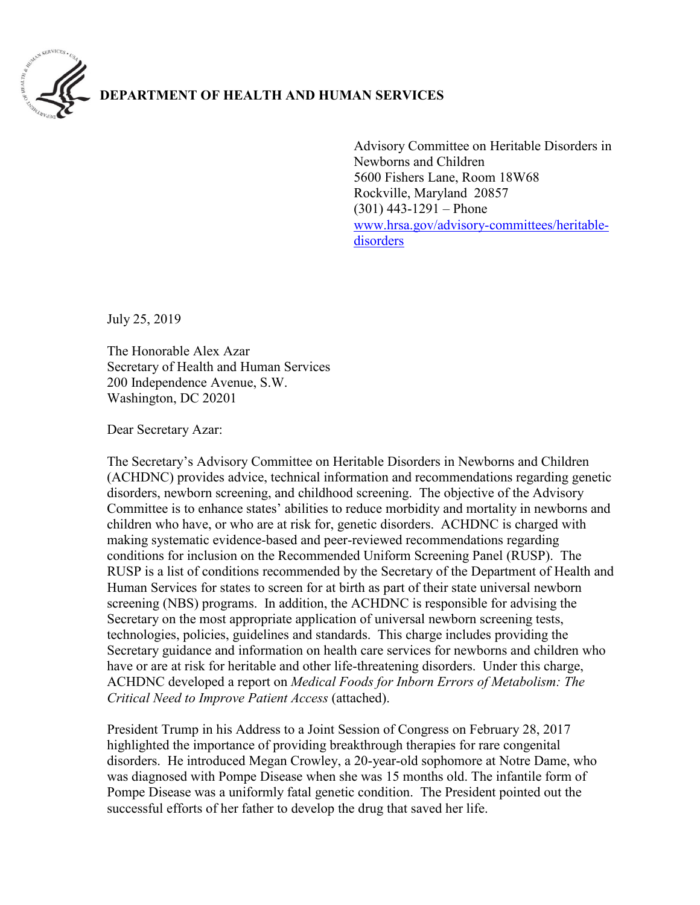

## **DEPARTMENT OF HEALTH AND HUMAN SERVICES**

Advisory Committee on Heritable Disorders in Newborns and Children 5600 Fishers Lane, Room 18W68 Rockville, Maryland 20857  $(301)$  443-1291 – Phone [www.hrsa.gov/advisory-committees/heritable](http://www.hrsa.gov/advisory-committees/heritable-disorders)[disorders](http://www.hrsa.gov/advisory-committees/heritable-disorders)

July 25, 2019

The Honorable Alex Azar Secretary of Health and Human Services 200 Independence Avenue, S.W. Washington, DC 20201

Dear Secretary Azar:

The Secretary's Advisory Committee on Heritable Disorders in Newborns and Children (ACHDNC) provides advice, technical information and recommendations regarding genetic disorders, newborn screening, and childhood screening. The objective of the Advisory Committee is to enhance states' abilities to reduce morbidity and mortality in newborns and children who have, or who are at risk for, genetic disorders. ACHDNC is charged with making systematic evidence-based and peer-reviewed recommendations regarding conditions for inclusion on the Recommended Uniform Screening Panel (RUSP). The RUSP is a list of conditions recommended by the Secretary of the Department of Health and Human Services for states to screen for at birth as part of their state universal newborn screening (NBS) programs. In addition, the ACHDNC is responsible for advising the Secretary on the most appropriate application of universal newborn screening tests, technologies, policies, guidelines and standards. This charge includes providing the Secretary guidance and information on health care services for newborns and children who have or are at risk for heritable and other life-threatening disorders. Under this charge, ACHDNC developed a report on *Medical Foods for Inborn Errors of Metabolism: The Critical Need to Improve Patient Access* (attached).

President Trump in his Address to a Joint Session of Congress on February 28, 2017 highlighted the importance of providing breakthrough therapies for rare congenital disorders. He introduced Megan Crowley, a 20-year-old sophomore at Notre Dame, who was diagnosed with Pompe Disease when she was 15 months old. The infantile form of Pompe Disease was a uniformly fatal genetic condition. The President pointed out the successful efforts of her father to develop the drug that saved her life.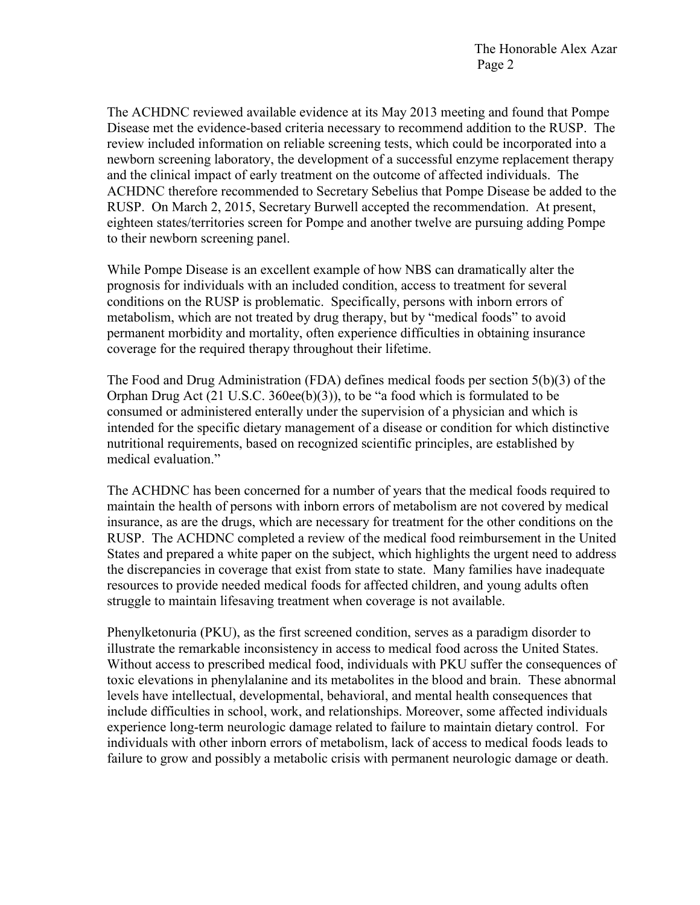The ACHDNC reviewed available evidence at its May 2013 meeting and found that Pompe Disease met the evidence-based criteria necessary to recommend addition to the RUSP. The review included information on reliable screening tests, which could be incorporated into a newborn screening laboratory, the development of a successful enzyme replacement therapy and the clinical impact of early treatment on the outcome of affected individuals. The ACHDNC therefore recommended to Secretary Sebelius that Pompe Disease be added to the RUSP. On March 2, 2015, Secretary Burwell accepted the recommendation. At present, eighteen states/territories screen for Pompe and another twelve are pursuing adding Pompe to their newborn screening panel.

While Pompe Disease is an excellent example of how NBS can dramatically alter the prognosis for individuals with an included condition, access to treatment for several conditions on the RUSP is problematic. Specifically, persons with inborn errors of metabolism, which are not treated by drug therapy, but by "medical foods" to avoid permanent morbidity and mortality, often experience difficulties in obtaining insurance coverage for the required therapy throughout their lifetime.

The Food and Drug Administration (FDA) defines medical foods per section 5(b)(3) of the Orphan Drug Act (21 U.S.C. 360ee(b)(3)), to be "a food which is formulated to be consumed or administered enterally under the supervision of a physician and which is intended for the specific dietary management of a disease or condition for which distinctive nutritional requirements, based on recognized scientific principles, are established by medical evaluation."

The ACHDNC has been concerned for a number of years that the medical foods required to maintain the health of persons with inborn errors of metabolism are not covered by medical insurance, as are the drugs, which are necessary for treatment for the other conditions on the RUSP. The ACHDNC completed a review of the medical food reimbursement in the United States and prepared a white paper on the subject, which highlights the urgent need to address the discrepancies in coverage that exist from state to state. Many families have inadequate resources to provide needed medical foods for affected children, and young adults often struggle to maintain lifesaving treatment when coverage is not available.

Phenylketonuria (PKU), as the first screened condition, serves as a paradigm disorder to illustrate the remarkable inconsistency in access to medical food across the United States. Without access to prescribed medical food, individuals with PKU suffer the consequences of toxic elevations in phenylalanine and its metabolites in the blood and brain. These abnormal levels have intellectual, developmental, behavioral, and mental health consequences that include difficulties in school, work, and relationships. Moreover, some affected individuals experience long-term neurologic damage related to failure to maintain dietary control. For individuals with other inborn errors of metabolism, lack of access to medical foods leads to failure to grow and possibly a metabolic crisis with permanent neurologic damage or death.